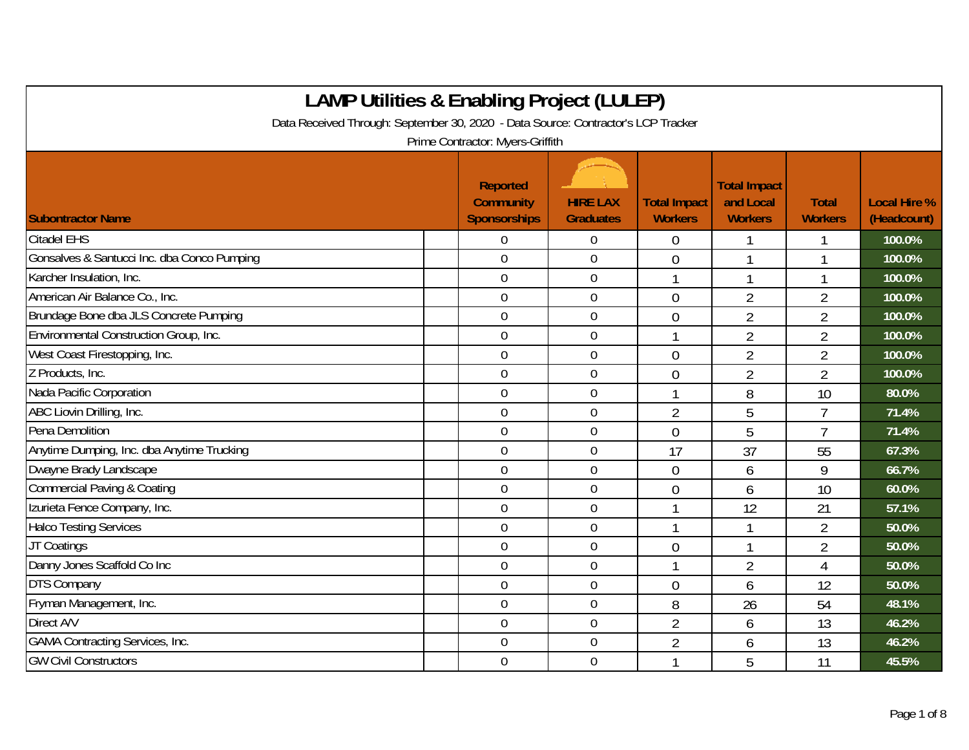| <b>LAMP Utilities &amp; Enabling Project (LULEP)</b>                              |                                              |                                     |                                       |                                                    |                                |                                    |
|-----------------------------------------------------------------------------------|----------------------------------------------|-------------------------------------|---------------------------------------|----------------------------------------------------|--------------------------------|------------------------------------|
| Data Received Through: September 30, 2020 - Data Source: Contractor's LCP Tracker |                                              |                                     |                                       |                                                    |                                |                                    |
|                                                                                   | Prime Contractor: Myers-Griffith             |                                     |                                       |                                                    |                                |                                    |
| <b>Subontractor Name</b>                                                          | Reported<br><b>Community</b><br>Sponsorships | <b>HIRE LAX</b><br><b>Graduates</b> | <b>Total Impact</b><br><b>Workers</b> | <b>Total Impact</b><br>and Local<br><b>Workers</b> | <b>Total</b><br><b>Workers</b> | <b>Local Hire %</b><br>(Headcount) |
| <b>Citadel EHS</b>                                                                | 0                                            | $\boldsymbol{0}$                    | 0                                     |                                                    |                                | 100.0%                             |
| Gonsalves & Santucci Inc. dba Conco Pumping                                       | $\mathbf 0$                                  | $\boldsymbol{0}$                    | $\overline{0}$                        | 1                                                  |                                | 100.0%                             |
| Karcher Insulation, Inc.                                                          | $\mathbf 0$                                  | $\boldsymbol{0}$                    | 1                                     | 1                                                  | 1                              | 100.0%                             |
| American Air Balance Co., Inc.                                                    | $\mathbf 0$                                  | $\mathbf 0$                         | $\overline{0}$                        | $\overline{2}$                                     | $\overline{2}$                 | 100.0%                             |
| Brundage Bone dba JLS Concrete Pumping                                            | $\overline{0}$                               | $\mathbf 0$                         | $\overline{0}$                        | $\overline{2}$                                     | 2                              | 100.0%                             |
| Environmental Construction Group, Inc.                                            | $\overline{0}$                               | $\mathbf 0$                         |                                       | $\overline{2}$                                     | $\overline{2}$                 | 100.0%                             |
| West Coast Firestopping, Inc.                                                     | $\overline{0}$                               | $\mathbf 0$                         | $\overline{0}$                        | $\overline{2}$                                     | $\overline{2}$                 | 100.0%                             |
| Z Products, Inc.                                                                  | $\overline{0}$                               | $\mathbf 0$                         | $\overline{0}$                        | $\overline{2}$                                     | $\overline{2}$                 | 100.0%                             |
| Nada Pacific Corporation                                                          | $\overline{0}$                               | $\mathbf 0$                         |                                       | 8                                                  | 10                             | 80.0%                              |
| ABC Liovin Drilling, Inc.                                                         | $\mathbf 0$                                  | $\mathbf 0$                         | $\overline{2}$                        | 5                                                  | $\overline{7}$                 | 71.4%                              |
| Pena Demolition                                                                   | $\mathbf 0$                                  | $\boldsymbol{0}$                    | $\mathbf 0$                           | 5                                                  | $\overline{1}$                 | 71.4%                              |
| Anytime Dumping, Inc. dba Anytime Trucking                                        | $\mathbf 0$                                  | $\mathbf 0$                         | 17                                    | 37                                                 | 55                             | 67.3%                              |
| Dwayne Brady Landscape                                                            | $\overline{0}$                               | $\overline{0}$                      | $\overline{0}$                        | 6                                                  | 9                              | 66.7%                              |
| Commercial Paving & Coating                                                       | $\overline{0}$                               | $\mathbf 0$                         | 0                                     | 6                                                  | 10                             | 60.0%                              |
| Izurieta Fence Company, Inc.                                                      | $\overline{0}$                               | $\mathbf 0$                         |                                       | 12                                                 | 21                             | 57.1%                              |
| <b>Halco Testing Services</b>                                                     | $\overline{0}$                               | $\mathbf 0$                         |                                       |                                                    | $\overline{2}$                 | 50.0%                              |
| JT Coatings                                                                       | $\mathbf 0$                                  | $\mathbf 0$                         | $\overline{0}$                        | $\mathbf{1}$                                       | $\overline{2}$                 | 50.0%                              |
| Danny Jones Scaffold Co Inc                                                       | $\mathbf 0$                                  | $\boldsymbol{0}$                    |                                       | $\overline{2}$                                     | $\overline{4}$                 | 50.0%                              |
| <b>DTS Company</b>                                                                | $\mathbf 0$                                  | $\mathbf 0$                         | $\overline{0}$                        | 6                                                  | 12                             | 50.0%                              |
| Fryman Management, Inc.                                                           | $\overline{0}$                               | $\boldsymbol{0}$                    | 8                                     | 26                                                 | 54                             | 48.1%                              |
| Direct A/V                                                                        | $\overline{0}$                               | $\mathbf 0$                         | $\overline{2}$                        | 6                                                  | 13                             | 46.2%                              |
| <b>GAMA Contracting Services, Inc.</b>                                            | $\overline{0}$                               | $\mathbf 0$                         | $\overline{2}$                        | 6                                                  | 13                             | 46.2%                              |
| <b>GW Civil Constructors</b>                                                      | $\overline{0}$                               | $\mathbf 0$                         |                                       | 5                                                  | 11                             | 45.5%                              |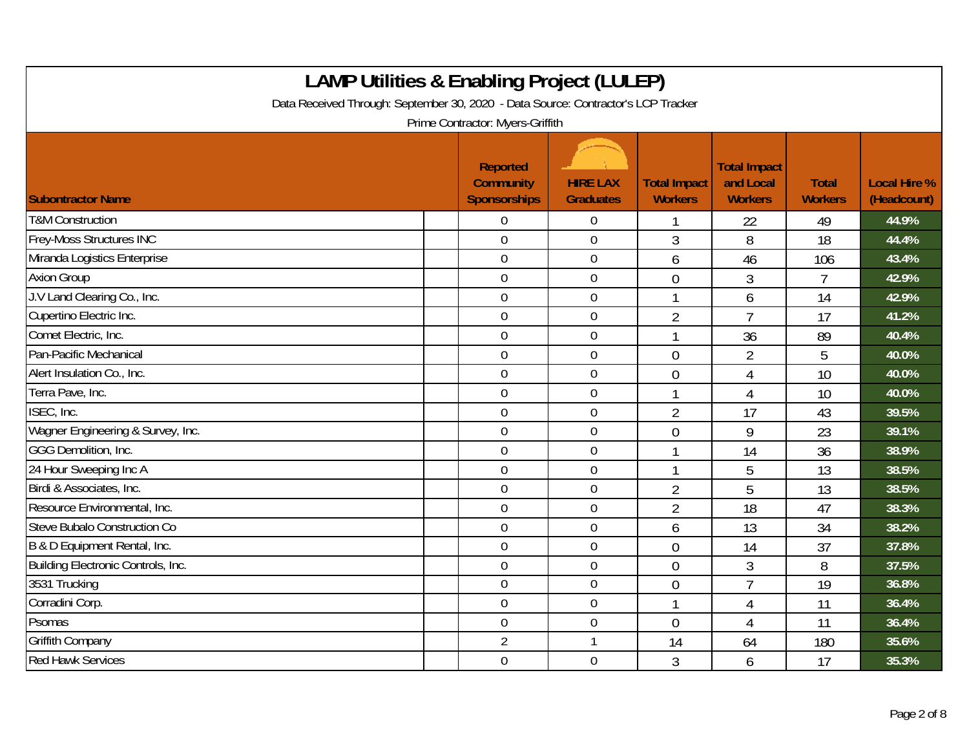| <b>LAMP Utilities &amp; Enabling Project (LULEP)</b><br>Data Received Through: September 30, 2020 - Data Source: Contractor's LCP Tracker<br>Prime Contractor: Myers-Griffith |  |                                                            |                                     |                                       |                                                    |                                |                                    |  |
|-------------------------------------------------------------------------------------------------------------------------------------------------------------------------------|--|------------------------------------------------------------|-------------------------------------|---------------------------------------|----------------------------------------------------|--------------------------------|------------------------------------|--|
| <b>Subontractor Name</b>                                                                                                                                                      |  | <b>Reported</b><br><b>Community</b><br><b>Sponsorships</b> | <b>HIRE LAX</b><br><b>Graduates</b> | <b>Total Impact</b><br><b>Workers</b> | <b>Total Impact</b><br>and Local<br><b>Workers</b> | <b>Total</b><br><b>Workers</b> | <b>Local Hire %</b><br>(Headcount) |  |
| <b>T&amp;M Construction</b>                                                                                                                                                   |  | $\Omega$                                                   | $\boldsymbol{0}$                    |                                       | 22                                                 | 49                             | 44.9%                              |  |
| Frey-Moss Structures INC                                                                                                                                                      |  | $\overline{0}$                                             | $\mathbf 0$                         | 3                                     | 8                                                  | 18                             | 44.4%                              |  |
| Miranda Logistics Enterprise                                                                                                                                                  |  | $\mathbf 0$                                                | $\boldsymbol{0}$                    | 6                                     | 46                                                 | 106                            | 43.4%                              |  |
| <b>Axion Group</b>                                                                                                                                                            |  | $\mathbf 0$                                                | $\mathbf 0$                         | $\overline{0}$                        | 3                                                  | $\overline{7}$                 | 42.9%                              |  |
| J.V Land Clearing Co., Inc.                                                                                                                                                   |  | $\overline{0}$                                             | 0                                   |                                       | 6                                                  | 14                             | 42.9%                              |  |
| Cupertino Electric Inc.                                                                                                                                                       |  | $\overline{0}$                                             | $\boldsymbol{0}$                    | $\overline{2}$                        | $\overline{7}$                                     | 17                             | 41.2%                              |  |
| Comet Electric, Inc.                                                                                                                                                          |  | $\mathbf 0$                                                | $\mathbf 0$                         |                                       | 36                                                 | 89                             | 40.4%                              |  |
| Pan-Pacific Mechanical                                                                                                                                                        |  | $\mathbf 0$                                                | $\mathbf 0$                         | $\overline{0}$                        | $\overline{2}$                                     | 5                              | 40.0%                              |  |
| Alert Insulation Co., Inc.                                                                                                                                                    |  | $\mathbf 0$                                                | $\boldsymbol{0}$                    | $\overline{0}$                        | 4                                                  | 10                             | 40.0%                              |  |
| Terra Pave, Inc.                                                                                                                                                              |  | $\mathbf 0$                                                | $\mathbf 0$                         | 1                                     | $\overline{4}$                                     | 10                             | 40.0%                              |  |
| ISEC, Inc.                                                                                                                                                                    |  | $\overline{0}$                                             | $\mathbf 0$                         | $\overline{2}$                        | 17                                                 | 43                             | 39.5%                              |  |
| Wagner Engineering & Survey, Inc.                                                                                                                                             |  | $\overline{0}$                                             | $\mathbf 0$                         | $\theta$                              | 9                                                  | 23                             | 39.1%                              |  |
| <b>GGG Demolition, Inc.</b>                                                                                                                                                   |  | $\overline{0}$                                             | $\overline{0}$                      |                                       | 14                                                 | 36                             | 38.9%                              |  |
| 24 Hour Sweeping Inc A                                                                                                                                                        |  | $\overline{0}$                                             | $\boldsymbol{0}$                    |                                       | 5                                                  | 13                             | 38.5%                              |  |
| Birdi & Associates, Inc.                                                                                                                                                      |  | $\mathbf 0$                                                | $\boldsymbol{0}$                    | $\overline{2}$                        | 5                                                  | 13                             | 38.5%                              |  |
| Resource Environmental, Inc.                                                                                                                                                  |  | $\overline{0}$                                             | $\mathbf 0$                         | $\overline{2}$                        | 18                                                 | 47                             | 38.3%                              |  |
| Steve Bubalo Construction Co                                                                                                                                                  |  | $\mathbf 0$                                                | $\boldsymbol{0}$                    | 6                                     | 13                                                 | 34                             | 38.2%                              |  |
| B & D Equipment Rental, Inc.                                                                                                                                                  |  | $\overline{0}$                                             | $\mathbf 0$                         | $\overline{0}$                        | 14                                                 | 37                             | 37.8%                              |  |
| Building Electronic Controls, Inc.                                                                                                                                            |  | $\overline{0}$                                             | $\overline{0}$                      | $\overline{0}$                        | 3                                                  | 8                              | 37.5%                              |  |
| 3531 Trucking                                                                                                                                                                 |  | $\mathbf 0$                                                | $\pmb{0}$                           | $\overline{0}$                        | $\overline{7}$                                     | 19                             | 36.8%                              |  |
| Corradini Corp.                                                                                                                                                               |  | $\boldsymbol{0}$                                           | $\boldsymbol{0}$                    | $\mathbf 1$                           | 4                                                  | 11                             | 36.4%                              |  |
| Psomas                                                                                                                                                                        |  | $\overline{0}$                                             | 0                                   | $\overline{0}$                        | 4                                                  | 11                             | 36.4%                              |  |
| <b>Griffith Company</b>                                                                                                                                                       |  | $\overline{2}$                                             | $\mathbf{1}$                        | 14                                    | 64                                                 | 180                            | 35.6%                              |  |
| <b>Red Hawk Services</b>                                                                                                                                                      |  | $\mathbf 0$                                                | $\mathbf 0$                         | 3                                     | 6                                                  | 17                             | 35.3%                              |  |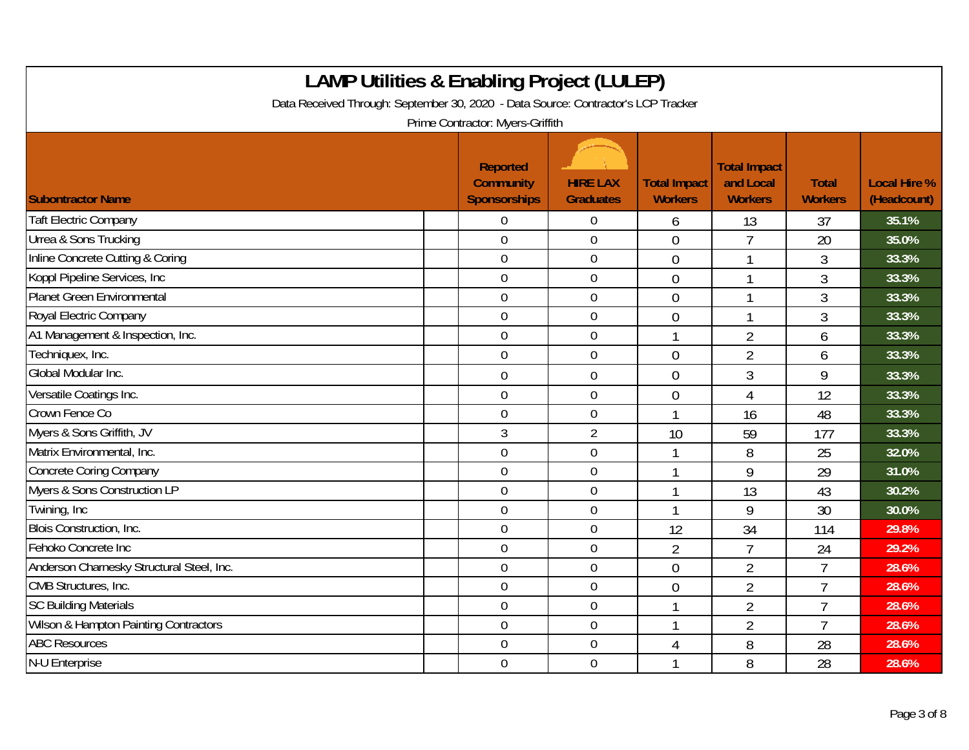| <b>LAMP Utilities &amp; Enabling Project (LULEP)</b><br>Data Received Through: September 30, 2020 - Data Source: Contractor's LCP Tracker<br>Prime Contractor: Myers-Griffith |                                                     |                                     |                                       |                                                    |                                |                                    |  |  |
|-------------------------------------------------------------------------------------------------------------------------------------------------------------------------------|-----------------------------------------------------|-------------------------------------|---------------------------------------|----------------------------------------------------|--------------------------------|------------------------------------|--|--|
| <b>Subontractor Name</b>                                                                                                                                                      | Reported<br><b>Community</b><br><b>Sponsorships</b> | <b>HIRE LAX</b><br><b>Graduates</b> | <b>Total Impact</b><br><b>Workers</b> | <b>Total Impact</b><br>and Local<br><b>Workers</b> | <b>Total</b><br><b>Workers</b> | <b>Local Hire %</b><br>(Headcount) |  |  |
| <b>Taft Electric Company</b>                                                                                                                                                  | 0                                                   | $\overline{0}$                      | 6                                     | 13                                                 | 37                             | 35.1%                              |  |  |
| Urrea & Sons Trucking                                                                                                                                                         | $\mathbf 0$                                         | $\mathbf 0$                         | $\overline{0}$                        | $\overline{7}$                                     | 20                             | 35.0%                              |  |  |
| Inline Concrete Cutting & Coring                                                                                                                                              | $\overline{0}$                                      | $\mathbf 0$                         | $\theta$                              | $\mathbf{1}$                                       | 3                              | 33.3%                              |  |  |
| Koppl Pipeline Services, Inc.                                                                                                                                                 | $\mathbf 0$                                         | $\boldsymbol{0}$                    | $\overline{0}$                        |                                                    | 3                              | 33.3%                              |  |  |
| <b>Planet Green Environmental</b>                                                                                                                                             | $\overline{0}$                                      | $\mathbf 0$                         | $\overline{0}$                        | 1                                                  | 3                              | 33.3%                              |  |  |
| Royal Electric Company                                                                                                                                                        | $\mathbf 0$                                         | $\mathbf 0$                         | $\overline{0}$                        | 1                                                  | 3                              | 33.3%                              |  |  |
| A1 Management & Inspection, Inc.                                                                                                                                              | $\overline{0}$                                      | $\mathbf 0$                         |                                       | $\overline{2}$                                     | 6                              | 33.3%                              |  |  |
| Techniquex, Inc.                                                                                                                                                              | $\mathbf 0$                                         | $\mathbf 0$                         | $\overline{0}$                        | $\overline{2}$                                     | 6                              | 33.3%                              |  |  |
| Global Modular Inc.                                                                                                                                                           | $\boldsymbol{0}$                                    | $\boldsymbol{0}$                    | $\overline{0}$                        | 3                                                  | 9                              | 33.3%                              |  |  |
| Versatile Coatings Inc.                                                                                                                                                       | $\mathbf 0$                                         | $\mathbf 0$                         | $\mathbf 0$                           | 4                                                  | 12                             | 33.3%                              |  |  |
| Crown Fence Co                                                                                                                                                                | $\overline{0}$                                      | $\mathbf 0$                         |                                       | 16                                                 | 48                             | 33.3%                              |  |  |
| Myers & Sons Griffith, JV                                                                                                                                                     | $\overline{3}$                                      | $\overline{2}$                      | 10                                    | 59                                                 | 177                            | 33.3%                              |  |  |
| Matrix Environmental, Inc.                                                                                                                                                    | $\overline{0}$                                      | $\mathbf 0$                         |                                       | 8                                                  | 25                             | 32.0%                              |  |  |
| <b>Concrete Coring Company</b>                                                                                                                                                | $\mathbf 0$                                         | $\mathbf 0$                         |                                       | 9                                                  | 29                             | 31.0%                              |  |  |
| Myers & Sons Construction LP                                                                                                                                                  | $\mathbf 0$                                         | $\boldsymbol{0}$                    |                                       | 13                                                 | 43                             | 30.2%                              |  |  |
| Twining, Inc.                                                                                                                                                                 | $\mathbf 0$                                         | $\boldsymbol{0}$                    |                                       | 9                                                  | 30                             | 30.0%                              |  |  |
| <b>Blois Construction, Inc.</b>                                                                                                                                               | $\overline{0}$                                      | $\mathbf 0$                         | 12                                    | 34                                                 | 114                            | 29.8%                              |  |  |
| Fehoko Concrete Inc                                                                                                                                                           | $\boldsymbol{0}$                                    | $\boldsymbol{0}$                    | $\overline{2}$                        | $\overline{7}$                                     | 24                             | 29.2%                              |  |  |
| Anderson Charnesky Structural Steel, Inc.                                                                                                                                     | $\overline{0}$                                      | $\mathbf 0$                         | $\overline{0}$                        | $\overline{2}$                                     | $\overline{7}$                 | 28.6%                              |  |  |
| CMB Structures, Inc.                                                                                                                                                          | $\overline{0}$                                      | $\mathbf 0$                         | $\overline{0}$                        | $\overline{2}$                                     | $\overline{7}$                 | 28.6%                              |  |  |
| <b>SC Building Materials</b>                                                                                                                                                  | $\overline{0}$                                      | $\boldsymbol{0}$                    |                                       | $\overline{2}$                                     | $\overline{7}$                 | 28.6%                              |  |  |
| Wilson & Hampton Painting Contractors                                                                                                                                         | $\overline{0}$                                      | $\mathbf 0$                         |                                       | $\overline{2}$                                     | $\overline{7}$                 | 28.6%                              |  |  |
| <b>ABC Resources</b>                                                                                                                                                          | $\mathbf 0$                                         | $\mathbf 0$                         | 4                                     | 8                                                  | 28                             | 28.6%                              |  |  |
| N-U Enterprise                                                                                                                                                                | $\overline{0}$                                      | $\mathbf 0$                         |                                       | 8                                                  | 28                             | 28.6%                              |  |  |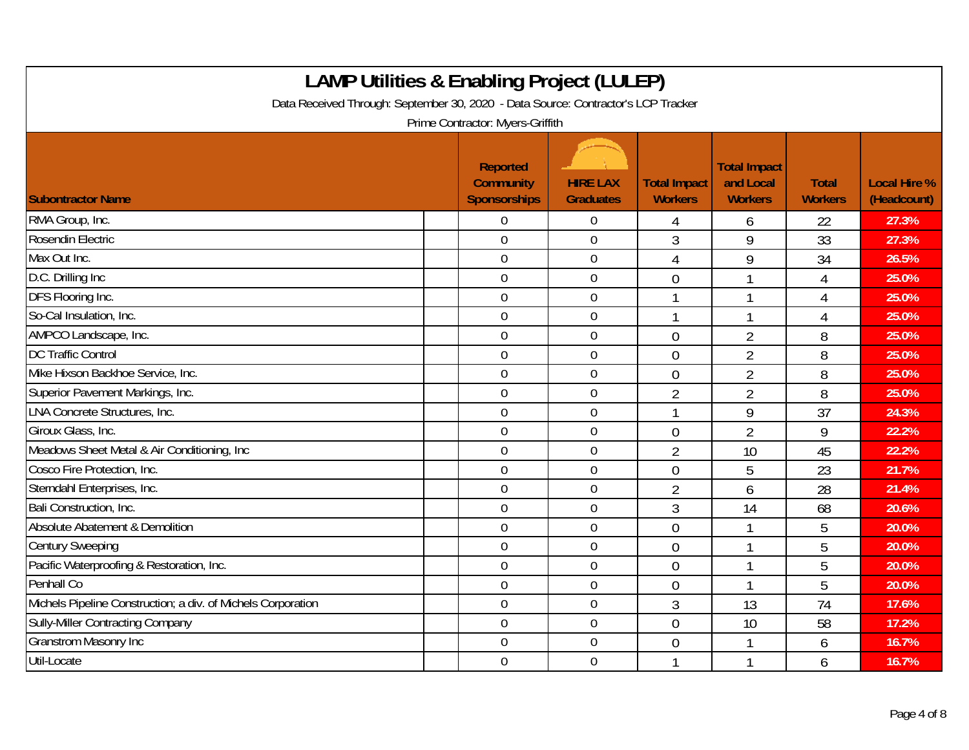| <b>LAMP Utilities &amp; Enabling Project (LULEP)</b><br>Data Received Through: September 30, 2020 - Data Source: Contractor's LCP Tracker<br>Prime Contractor: Myers-Griffith |                                                     |                                     |                                       |                                                    |                                |                                    |  |  |
|-------------------------------------------------------------------------------------------------------------------------------------------------------------------------------|-----------------------------------------------------|-------------------------------------|---------------------------------------|----------------------------------------------------|--------------------------------|------------------------------------|--|--|
| <b>Subontractor Name</b>                                                                                                                                                      | Reported<br><b>Community</b><br><b>Sponsorships</b> | <b>HIRE LAX</b><br><b>Graduates</b> | <b>Total Impact</b><br><b>Workers</b> | <b>Total Impact</b><br>and Local<br><b>Workers</b> | <b>Total</b><br><b>Workers</b> | <b>Local Hire %</b><br>(Headcount) |  |  |
| RMA Group, Inc.                                                                                                                                                               | 0                                                   | 0                                   | 4                                     | 6                                                  | 22                             | 27.3%                              |  |  |
| Rosendin Electric                                                                                                                                                             | $\overline{0}$                                      | $\overline{0}$                      | $\mathfrak{Z}$                        | 9                                                  | 33                             | 27.3%                              |  |  |
| Max Out Inc.                                                                                                                                                                  | $\overline{0}$                                      | $\boldsymbol{0}$                    | $\overline{4}$                        | 9                                                  | 34                             | 26.5%                              |  |  |
| D.C. Drilling Inc                                                                                                                                                             | $\overline{0}$                                      | $\boldsymbol{0}$                    | $\overline{0}$                        | 1                                                  | 4                              | 25.0%                              |  |  |
| DFS Flooring Inc.                                                                                                                                                             | $\mathbf 0$                                         | $\mathbf 0$                         | $\mathbf{1}$                          | 1                                                  | 4                              | 25.0%                              |  |  |
| So-Cal Insulation, Inc.                                                                                                                                                       | $\overline{0}$                                      | $\mathbf 0$                         | $\mathbf{1}$                          |                                                    | $\overline{4}$                 | 25.0%                              |  |  |
| AMPCO Landscape, Inc.                                                                                                                                                         | $\overline{0}$                                      | $\mathbf 0$                         | $\overline{0}$                        | $\overline{2}$                                     | 8                              | 25.0%                              |  |  |
| <b>DC Traffic Control</b>                                                                                                                                                     | $\overline{0}$                                      | $\mathbf 0$                         | $\overline{0}$                        | $\overline{2}$                                     | 8                              | 25.0%                              |  |  |
| Mike Hixson Backhoe Service, Inc.                                                                                                                                             | $\overline{0}$                                      | $\boldsymbol{0}$                    | $\overline{0}$                        | $\overline{2}$                                     | 8                              | 25.0%                              |  |  |
| Superior Pavement Markings, Inc.                                                                                                                                              | $\overline{0}$                                      | $\boldsymbol{0}$                    | $\overline{2}$                        | $\overline{2}$                                     | 8                              | 25.0%                              |  |  |
| <b>LNA Concrete Structures, Inc.</b>                                                                                                                                          | $\mathbf 0$                                         | $\mathbf 0$                         | $\mathbf{1}$                          | 9                                                  | 37                             | 24.3%                              |  |  |
| Giroux Glass, Inc.                                                                                                                                                            | $\mathbf 0$                                         | $\mathbf 0$                         | $\overline{0}$                        | $\overline{2}$                                     | 9                              | 22.2%                              |  |  |
| Meadows Sheet Metal & Air Conditioning, Inc.                                                                                                                                  | $\overline{0}$                                      | $\mathbf 0$                         | $\overline{2}$                        | 10                                                 | 45                             | 22.2%                              |  |  |
| Cosco Fire Protection, Inc.                                                                                                                                                   | $\mathbf 0$                                         | $\mathbf 0$                         | $\overline{0}$                        | 5                                                  | 23                             | 21.7%                              |  |  |
| Sterndahl Enterprises, Inc.                                                                                                                                                   | $\mathbf 0$                                         | $\boldsymbol{0}$                    | $\overline{2}$                        | 6                                                  | 28                             | 21.4%                              |  |  |
| Bali Construction, Inc.                                                                                                                                                       | $\overline{0}$                                      | $\mathbf 0$                         | 3                                     | 14                                                 | 68                             | 20.6%                              |  |  |
| Absolute Abatement & Demolition                                                                                                                                               | $\overline{0}$                                      | $\mathbf{0}$                        | $\overline{0}$                        |                                                    | 5                              | 20.0%                              |  |  |
| <b>Century Sweeping</b>                                                                                                                                                       | $\mathbf 0$                                         | $\boldsymbol{0}$                    | $\overline{0}$                        | 1                                                  | 5                              | 20.0%                              |  |  |
| Pacific Waterproofing & Restoration, Inc.                                                                                                                                     | $\mathbf 0$                                         | $\mathbf 0$                         | $\theta$                              |                                                    | 5                              | 20.0%                              |  |  |
| Penhall Co                                                                                                                                                                    | $\overline{0}$                                      | $\mathbf 0$                         | $\overline{0}$                        |                                                    | 5                              | 20.0%                              |  |  |
| Michels Pipeline Construction; a div. of Michels Corporation                                                                                                                  | $\boldsymbol{0}$                                    | $\boldsymbol{0}$                    | $\mathfrak{Z}$                        | 13                                                 | 74                             | 17.6%                              |  |  |
| Sully-Miller Contracting Company                                                                                                                                              | $\mathbf 0$                                         | $\mathbf 0$                         | $\overline{0}$                        | 10                                                 | 58                             | 17.2%                              |  |  |
| <b>Granstrom Masonry Inc</b>                                                                                                                                                  | $\mathbf 0$                                         | $\mathbf 0$                         | $\overline{0}$                        |                                                    | 6                              | 16.7%                              |  |  |
| Util-Locate                                                                                                                                                                   | $\overline{0}$                                      | $\mathbf 0$                         |                                       |                                                    | 6                              | 16.7%                              |  |  |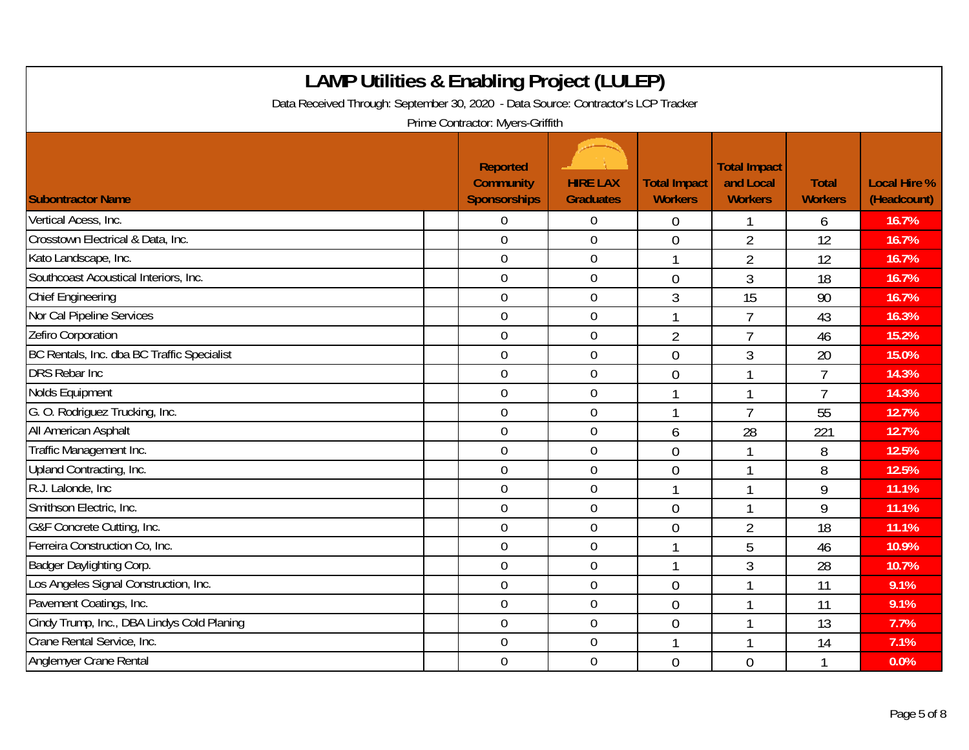| <b>LAMP Utilities &amp; Enabling Project (LULEP)</b><br>Data Received Through: September 30, 2020 - Data Source: Contractor's LCP Tracker<br>Prime Contractor: Myers-Griffith |                                                     |                                     |                                       |                                                    |                                |                                    |  |  |
|-------------------------------------------------------------------------------------------------------------------------------------------------------------------------------|-----------------------------------------------------|-------------------------------------|---------------------------------------|----------------------------------------------------|--------------------------------|------------------------------------|--|--|
| <b>Subontractor Name</b>                                                                                                                                                      | <b>Reported</b><br><b>Community</b><br>Sponsorships | <b>HIRE LAX</b><br><b>Graduates</b> | <b>Total Impact</b><br><b>Workers</b> | <b>Total Impact</b><br>and Local<br><b>Workers</b> | <b>Total</b><br><b>Workers</b> | <b>Local Hire %</b><br>(Headcount) |  |  |
| Vertical Acess, Inc.                                                                                                                                                          | $\Omega$                                            | $\overline{0}$                      | $\theta$                              |                                                    | 6                              | 16.7%                              |  |  |
| Crosstown Electrical & Data, Inc.                                                                                                                                             | $\overline{0}$                                      | $\overline{0}$                      | $\overline{0}$                        | $\overline{2}$                                     | 12                             | 16.7%                              |  |  |
| Kato Landscape, Inc.                                                                                                                                                          | $\mathbf 0$                                         | $\boldsymbol{0}$                    | $\mathbf{1}$                          | $\overline{2}$                                     | 12                             | 16.7%                              |  |  |
| Southcoast Acoustical Interiors, Inc.                                                                                                                                         | $\mathbf 0$                                         | $\overline{0}$                      | $\overline{0}$                        | $\mathfrak{Z}$                                     | 18                             | 16.7%                              |  |  |
| <b>Chief Engineering</b>                                                                                                                                                      | $\overline{0}$                                      | $\mathbf 0$                         | $\mathfrak{Z}$                        | 15                                                 | 90                             | 16.7%                              |  |  |
| Nor Cal Pipeline Services                                                                                                                                                     | $\mathbf 0$                                         | $\mathbf 0$                         | $\mathbf{1}$                          | $\overline{7}$                                     | 43                             | 16.3%                              |  |  |
| Zefiro Corporation                                                                                                                                                            | $\overline{0}$                                      | $\mathbf 0$                         | $\overline{2}$                        | $\overline{7}$                                     | 46                             | 15.2%                              |  |  |
| BC Rentals, Inc. dba BC Traffic Specialist                                                                                                                                    | $\overline{0}$                                      | $\mathbf 0$                         | $\overline{0}$                        | 3                                                  | 20                             | 15.0%                              |  |  |
| <b>DRS Rebar Inc.</b>                                                                                                                                                         | $\mathbf 0$                                         | $\boldsymbol{0}$                    | $\overline{0}$                        |                                                    | $\overline{7}$                 | 14.3%                              |  |  |
| Nolds Equipment                                                                                                                                                               | $\mathbf 0$                                         | $\boldsymbol{0}$                    | $\mathbf{1}$                          |                                                    | $\overline{7}$                 | 14.3%                              |  |  |
| G. O. Rodriguez Trucking, Inc.                                                                                                                                                | $\mathbf 0$                                         | $\mathbf 0$                         |                                       | $\overline{7}$                                     | 55                             | 12.7%                              |  |  |
| All American Asphalt                                                                                                                                                          | $\mathbf 0$                                         | $\mathbf 0$                         | 6                                     | 28                                                 | 221                            | 12.7%                              |  |  |
| Traffic Management Inc.                                                                                                                                                       | $\overline{0}$                                      | $\overline{0}$                      | $\overline{0}$                        |                                                    | 8                              | 12.5%                              |  |  |
| Upland Contracting, Inc.                                                                                                                                                      | $\mathbf 0$                                         | $\mathbf 0$                         | $\overline{0}$                        |                                                    | 8                              | 12.5%                              |  |  |
| R.J. Lalonde, Inc.                                                                                                                                                            | $\mathbf 0$                                         | $\boldsymbol{0}$                    | $\mathbf{1}$                          |                                                    | 9                              | 11.1%                              |  |  |
| Smithson Electric, Inc.                                                                                                                                                       | $\mathbf 0$                                         | $\mathbf 0$                         | $\overline{0}$                        |                                                    | 9                              | 11.1%                              |  |  |
| G&F Concrete Cutting, Inc.                                                                                                                                                    | $\overline{0}$                                      | $\overline{0}$                      | $\overline{0}$                        | $\overline{2}$                                     | 18                             | 11.1%                              |  |  |
| Ferreira Construction Co, Inc.                                                                                                                                                | $\mathbf 0$                                         | $\mathbf 0$                         | 1                                     | 5                                                  | 46                             | 10.9%                              |  |  |
| Badger Daylighting Corp.                                                                                                                                                      | $\mathbf 0$                                         | $\mathbf 0$                         | 1                                     | 3                                                  | 28                             | 10.7%                              |  |  |
| Los Angeles Signal Construction, Inc.                                                                                                                                         | $\overline{0}$                                      | $\mathbf 0$                         | $\overline{0}$                        |                                                    | 11                             | 9.1%                               |  |  |
| Pavement Coatings, Inc.                                                                                                                                                       | $\mathbf 0$                                         | $\boldsymbol{0}$                    | $\overline{0}$                        |                                                    | 11                             | 9.1%                               |  |  |
| Cindy Trump, Inc., DBA Lindys Cold Planing                                                                                                                                    | $\overline{0}$                                      | $\mathbf 0$                         | $\overline{0}$                        |                                                    | 13                             | 7.7%                               |  |  |
| Crane Rental Service, Inc.                                                                                                                                                    | $\overline{0}$                                      | $\mathbf 0$                         | 1                                     |                                                    | 14                             | 7.1%                               |  |  |
| Anglemyer Crane Rental                                                                                                                                                        | $\overline{0}$                                      | $\overline{0}$                      | $\overline{0}$                        | $\overline{0}$                                     |                                | 0.0%                               |  |  |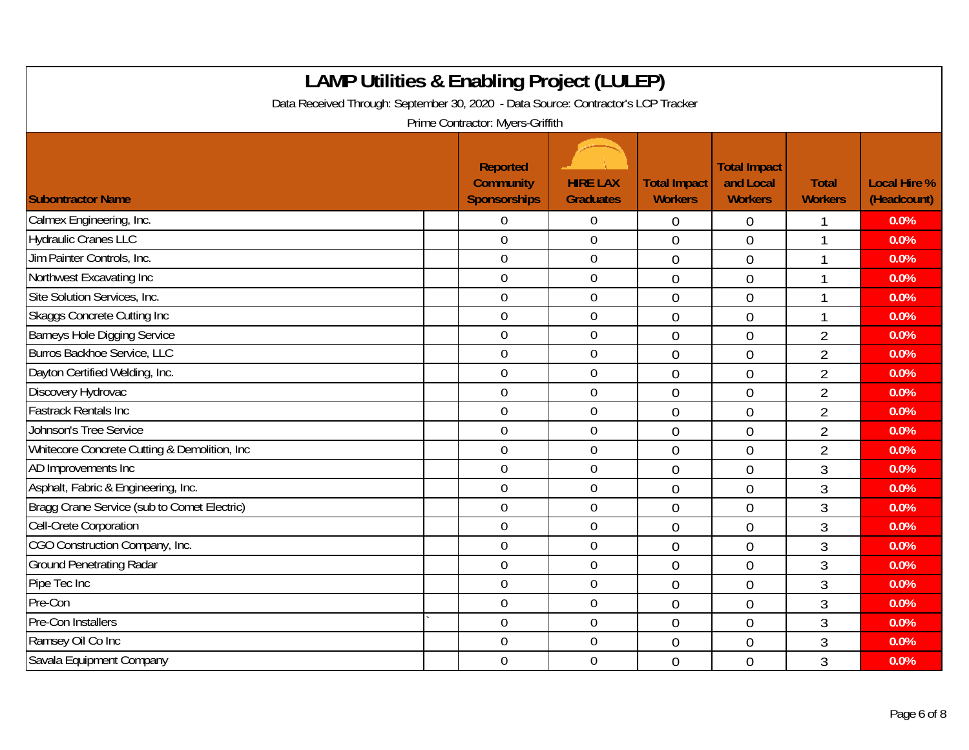| <b>LAMP Utilities &amp; Enabling Project (LULEP)</b><br>Data Received Through: September 30, 2020 - Data Source: Contractor's LCP Tracker<br>Prime Contractor: Myers-Griffith |  |                                                     |                                     |                                       |                                                    |                                |                                    |  |
|-------------------------------------------------------------------------------------------------------------------------------------------------------------------------------|--|-----------------------------------------------------|-------------------------------------|---------------------------------------|----------------------------------------------------|--------------------------------|------------------------------------|--|
| <b>Subontractor Name</b>                                                                                                                                                      |  | Reported<br><b>Community</b><br><b>Sponsorships</b> | <b>HIRE LAX</b><br><b>Graduates</b> | <b>Total Impact</b><br><b>Workers</b> | <b>Total Impact</b><br>and Local<br><b>Workers</b> | <b>Total</b><br><b>Workers</b> | <b>Local Hire %</b><br>(Headcount) |  |
| Calmex Engineering, Inc.                                                                                                                                                      |  | 0                                                   | $\overline{0}$                      | $\boldsymbol{0}$                      | $\boldsymbol{0}$                                   |                                | 0.0%                               |  |
| <b>Hydraulic Cranes LLC</b>                                                                                                                                                   |  | $\overline{0}$                                      | $\overline{0}$                      | $\overline{0}$                        | $\overline{0}$                                     |                                | 0.0%                               |  |
| Jim Painter Controls, Inc.                                                                                                                                                    |  | $\boldsymbol{0}$                                    | $\boldsymbol{0}$                    | $\overline{0}$                        | $\overline{0}$                                     | 1                              | 0.0%                               |  |
| Northwest Excavating Inc                                                                                                                                                      |  | $\boldsymbol{0}$                                    | $\boldsymbol{0}$                    | $\overline{0}$                        | $\overline{0}$                                     | $\overline{\phantom{a}}$       | 0.0%                               |  |
| Site Solution Services, Inc.                                                                                                                                                  |  | $\overline{0}$                                      | $\mathbf 0$                         | $\overline{0}$                        | $\overline{0}$                                     | 1                              | 0.0%                               |  |
| <b>Skaggs Concrete Cutting Inc</b>                                                                                                                                            |  | $\mathbf 0$                                         | $\overline{0}$                      | $\overline{0}$                        | $\overline{0}$                                     |                                | 0.0%                               |  |
| <b>Barneys Hole Digging Service</b>                                                                                                                                           |  | $\mathbf 0$                                         | $\overline{0}$                      | $\overline{0}$                        | $\overline{0}$                                     | $\overline{2}$                 | 0.0%                               |  |
| Burros Backhoe Service, LLC                                                                                                                                                   |  | $\mathbf 0$                                         | $\mathbf 0$                         | $\overline{0}$                        | $\overline{0}$                                     | $\overline{2}$                 | 0.0%                               |  |
| Dayton Certified Welding, Inc.                                                                                                                                                |  | $\mathbf 0$                                         | $\mathbf 0$                         | $\overline{0}$                        | $\overline{0}$                                     | $\overline{2}$                 | 0.0%                               |  |
| Discovery Hydrovac                                                                                                                                                            |  | $\mathbf 0$                                         | $\overline{0}$                      | $\overline{0}$                        | $\overline{0}$                                     | $\overline{2}$                 | 0.0%                               |  |
| <b>Fastrack Rentals Inc</b>                                                                                                                                                   |  | $\overline{0}$                                      | $\mathbf 0$                         | $\overline{0}$                        | $\theta$                                           | $\overline{2}$                 | 0.0%                               |  |
| Johnson's Tree Service                                                                                                                                                        |  | $\mathbf 0$                                         | $\mathbf 0$                         | $\overline{0}$                        | $\theta$                                           | $\overline{2}$                 | 0.0%                               |  |
| Whitecore Concrete Cutting & Demolition, Inc                                                                                                                                  |  | $\overline{0}$                                      | $\mathbf 0$                         | $\overline{0}$                        | $\overline{0}$                                     | $\overline{2}$                 | 0.0%                               |  |
| AD Improvements Inc                                                                                                                                                           |  | $\mathbf 0$                                         | $\mathbf 0$                         | $\overline{0}$                        | $\overline{0}$                                     | 3                              | 0.0%                               |  |
| Asphalt, Fabric & Engineering, Inc.                                                                                                                                           |  | $\mathbf 0$                                         | $\mathbf 0$                         | $\overline{0}$                        | $\overline{0}$                                     | 3                              | 0.0%                               |  |
| Bragg Crane Service (sub to Comet Electric)                                                                                                                                   |  | $\overline{0}$                                      | $\overline{0}$                      | $\Omega$                              | $\overline{0}$                                     | $\overline{3}$                 | 0.0%                               |  |
| <b>Cell-Crete Corporation</b>                                                                                                                                                 |  | $\overline{0}$                                      | $\boldsymbol{0}$                    | $\overline{0}$                        | $\overline{0}$                                     | 3                              | 0.0%                               |  |
| CGO Construction Company, Inc.                                                                                                                                                |  | $\mathbf 0$                                         | $\boldsymbol{0}$                    | $\overline{0}$                        | $\overline{0}$                                     | 3                              | 0.0%                               |  |
| <b>Ground Penetrating Radar</b>                                                                                                                                               |  | $\overline{0}$                                      | $\mathbf 0$                         | $\overline{0}$                        | $\overline{0}$                                     | 3                              | 0.0%                               |  |
| Pipe Tec Inc                                                                                                                                                                  |  | $\boldsymbol{0}$                                    | $\mathbf 0$                         | $\overline{0}$                        | $\overline{0}$                                     | 3                              | 0.0%                               |  |
| Pre-Con                                                                                                                                                                       |  | $\mathbf 0$                                         | $\mathbf 0$                         | $\overline{0}$                        | $\theta$                                           | 3                              | 0.0%                               |  |
| Pre-Con Installers                                                                                                                                                            |  | $\mathbf 0$                                         | $\mathbf 0$                         | $\overline{0}$                        | $\theta$                                           | 3                              | 0.0%                               |  |
| Ramsey Oil Co Inc                                                                                                                                                             |  | $\mathbf 0$                                         | $\mathbf 0$                         | $\overline{0}$                        | $\theta$                                           | 3                              | 0.0%                               |  |
| Savala Equipment Company                                                                                                                                                      |  | $\mathbf 0$                                         | $\mathbf 0$                         | $\overline{0}$                        | $\overline{0}$                                     | 3                              | 0.0%                               |  |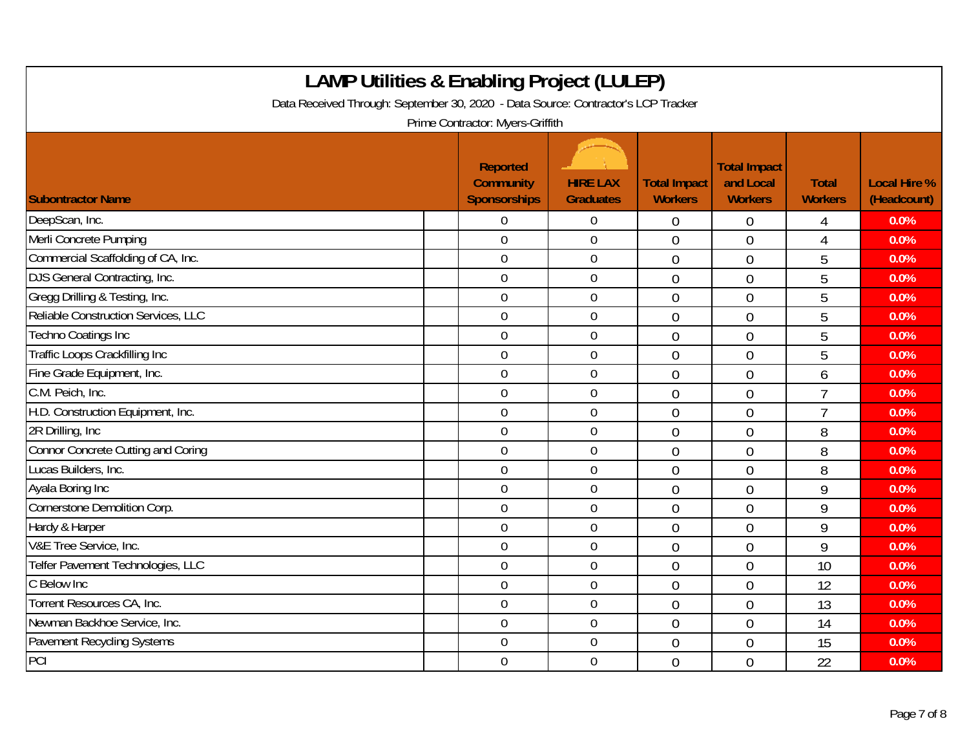| <b>LAMP Utilities &amp; Enabling Project (LULEP)</b><br>Data Received Through: September 30, 2020 - Data Source: Contractor's LCP Tracker<br>Prime Contractor: Myers-Griffith |                                                     |                                     |                                       |                                                    |                                |                                    |  |  |
|-------------------------------------------------------------------------------------------------------------------------------------------------------------------------------|-----------------------------------------------------|-------------------------------------|---------------------------------------|----------------------------------------------------|--------------------------------|------------------------------------|--|--|
| <b>Subontractor Name</b>                                                                                                                                                      | <b>Reported</b><br><b>Community</b><br>Sponsorships | <b>HIRE LAX</b><br><b>Graduates</b> | <b>Total Impact</b><br><b>Workers</b> | <b>Total Impact</b><br>and Local<br><b>Workers</b> | <b>Total</b><br><b>Workers</b> | <b>Local Hire %</b><br>(Headcount) |  |  |
| DeepScan, Inc.                                                                                                                                                                | $\Omega$                                            | $\overline{0}$                      | $\theta$                              | $\theta$                                           | 4                              | 0.0%                               |  |  |
| Merli Concrete Pumping                                                                                                                                                        | $\overline{0}$                                      | $\overline{0}$                      | $\overline{0}$                        | $\overline{0}$                                     | 4                              | 0.0%                               |  |  |
| Commercial Scaffolding of CA, Inc.                                                                                                                                            | $\mathbf 0$                                         | $\boldsymbol{0}$                    | $\mathbf 0$                           | $\mathbf 0$                                        | 5                              | 0.0%                               |  |  |
| <b>DJS</b> General Contracting, Inc.                                                                                                                                          | $\mathbf 0$                                         | $\overline{0}$                      | $\overline{0}$                        | $\overline{0}$                                     | 5                              | 0.0%                               |  |  |
| Gregg Drilling & Testing, Inc.                                                                                                                                                | $\overline{0}$                                      | $\mathbf 0$                         | $\overline{0}$                        | $\theta$                                           | 5                              | 0.0%                               |  |  |
| Reliable Construction Services, LLC                                                                                                                                           | $\mathbf 0$                                         | $\mathbf 0$                         | $\overline{0}$                        | $\mathbf 0$                                        | 5                              | 0.0%                               |  |  |
| <b>Techno Coatings Inc</b>                                                                                                                                                    | $\overline{0}$                                      | $\mathbf 0$                         | $\overline{0}$                        | $\overline{0}$                                     | 5                              | 0.0%                               |  |  |
| Traffic Loops Crackfilling Inc                                                                                                                                                | $\overline{0}$                                      | $\mathbf 0$                         | $\overline{0}$                        | $\theta$                                           | 5                              | 0.0%                               |  |  |
| Fine Grade Equipment, Inc.                                                                                                                                                    | $\mathbf 0$                                         | $\boldsymbol{0}$                    | $\overline{0}$                        | $\mathbf 0$                                        | 6                              | 0.0%                               |  |  |
| C.M. Peich, Inc.                                                                                                                                                              | $\mathbf 0$                                         | $\overline{0}$                      | $\overline{0}$                        | $\mathbf 0$                                        | $\overline{7}$                 | 0.0%                               |  |  |
| H.D. Construction Equipment, Inc.                                                                                                                                             | $\mathbf 0$                                         | $\mathbf 0$                         | $\overline{0}$                        | $\overline{0}$                                     | $\overline{1}$                 | 0.0%                               |  |  |
| 2R Drilling, Inc.                                                                                                                                                             | $\mathbf 0$                                         | $\mathbf 0$                         | $\overline{0}$                        | $\overline{0}$                                     | 8                              | 0.0%                               |  |  |
| <b>Connor Concrete Cutting and Coring</b>                                                                                                                                     | $\overline{0}$                                      | $\overline{0}$                      | $\overline{0}$                        | $\mathbf 0$                                        | 8                              | 0.0%                               |  |  |
| Lucas Builders, Inc.                                                                                                                                                          | $\mathbf 0$                                         | $\mathbf 0$                         | $\overline{0}$                        | $\overline{0}$                                     | 8                              | 0.0%                               |  |  |
| Ayala Boring Inc                                                                                                                                                              | $\mathbf 0$                                         | $\boldsymbol{0}$                    | $\overline{0}$                        | $\overline{0}$                                     | 9                              | 0.0%                               |  |  |
| Cornerstone Demolition Corp.                                                                                                                                                  | $\mathbf 0$                                         | $\overline{0}$                      | $\overline{0}$                        | $\overline{0}$                                     | 9                              | 0.0%                               |  |  |
| Hardy & Harper                                                                                                                                                                | $\overline{0}$                                      | $\overline{0}$                      | $\overline{0}$                        | $\overline{0}$                                     | 9                              | 0.0%                               |  |  |
| V&E Tree Service, Inc.                                                                                                                                                        | $\mathbf 0$                                         | $\mathbf 0$                         | $\overline{0}$                        | $\overline{0}$                                     | 9                              | 0.0%                               |  |  |
| Telfer Pavement Technologies, LLC                                                                                                                                             | $\mathbf 0$                                         | $\mathbf 0$                         | $\overline{0}$                        | $\overline{0}$                                     | 10                             | 0.0%                               |  |  |
| C Below Inc                                                                                                                                                                   | $\overline{0}$                                      | $\mathbf 0$                         | $\overline{0}$                        | $\overline{0}$                                     | 12                             | 0.0%                               |  |  |
| Torrent Resources CA, Inc.                                                                                                                                                    | $\mathbf 0$                                         | $\boldsymbol{0}$                    | $\overline{0}$                        | $\overline{0}$                                     | 13                             | 0.0%                               |  |  |
| Newman Backhoe Service, Inc.                                                                                                                                                  | $\overline{0}$                                      | $\overline{0}$                      | $\overline{0}$                        | $\overline{0}$                                     | 14                             | 0.0%                               |  |  |
| <b>Pavement Recycling Systems</b>                                                                                                                                             | $\overline{0}$                                      | $\mathbf 0$                         | $\overline{0}$                        | $\overline{0}$                                     | 15                             | 0.0%                               |  |  |
| PCI                                                                                                                                                                           | $\overline{0}$                                      | $\overline{0}$                      | $\overline{0}$                        | $\overline{0}$                                     | 22                             | 0.0%                               |  |  |